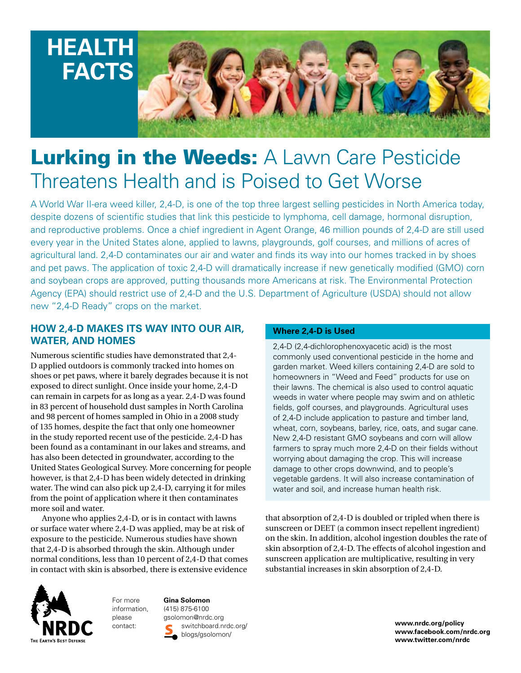

# Lurking in the Weeds: A Lawn Care Pesticide Threatens Health and is Poised to Get Worse

A World War II-era weed killer, 2,4-D, is one of the top three largest selling pesticides in North America today, despite dozens of scientific studies that link this pesticide to lymphoma, cell damage, hormonal disruption, and reproductive problems. Once a chief ingredient in Agent Orange, 46 million pounds of 2,4-D are still used every year in the United States alone, applied to lawns, playgrounds, golf courses, and millions of acres of agricultural land. 2,4-D contaminates our air and water and finds its way into our homes tracked in by shoes and pet paws. The application of toxic 2,4-D will dramatically increase if new genetically modified (GMO) corn and soybean crops are approved, putting thousands more Americans at risk. The Environmental Protection Agency (EPA) should restrict use of 2,4-D and the U.S. Department of Agriculture (USDA) should not allow new "2,4-D Ready" crops on the market.

#### **How 2,4-D Makes Its Way into Our Air, Water, and Homes**

Numerous scientific studies have demonstrated that 2,4- D applied outdoors is commonly tracked into homes on shoes or pet paws, where it barely degrades because it is not exposed to direct sunlight. Once inside your home, 2,4-D can remain in carpets for as long as a year. 2,4-D was found in 83 percent of household dust samples in North Carolina and 98 percent of homes sampled in Ohio in a 2008 study of 135 homes, despite the fact that only one homeowner in the study reported recent use of the pesticide. 2,4-D has been found as a contaminant in our lakes and streams, and has also been detected in groundwater, according to the United States Geological Survey. More concerning for people however, is that 2,4-D has been widely detected in drinking water. The wind can also pick up 2,4-D, carrying it for miles from the point of application where it then contaminates more soil and water.

Anyone who applies 2,4-D, or is in contact with lawns or surface water where 2,4-D was applied, may be at risk of exposure to the pesticide. Numerous studies have shown that 2,4-D is absorbed through the skin. Although under normal conditions, less than 10 percent of 2,4-D that comes in contact with skin is absorbed, there is extensive evidence



For more information, please

**Gina Solomon** (415) 875-6100 gsolomon@nrdc.org switchboard.nrdc.org/ contact: **www.nrdc.org/policy** blogs/gsolomon/

#### **Where 2,4-D is Used**

2,4-D (2,4-dichlorophenoxyacetic acid) is the most commonly used conventional pesticide in the home and garden market. Weed killers containing 2,4-D are sold to homeowners in "Weed and Feed" products for use on their lawns. The chemical is also used to control aquatic weeds in water where people may swim and on athletic fields, golf courses, and playgrounds. Agricultural uses of 2,4-D include application to pasture and timber land, wheat, corn, soybeans, barley, rice, oats, and sugar cane. New 2,4-D resistant GMO soybeans and corn will allow farmers to spray much more 2,4-D on their fields without worrying about damaging the crop. This will increase damage to other crops downwind, and to people's vegetable gardens. It will also increase contamination of water and soil, and increase human health risk.

that absorption of 2,4-D is doubled or tripled when there is sunscreen or DEET (a common insect repellent ingredient) on the skin. In addition, alcohol ingestion doubles the rate of skin absorption of 2,4-D. The effects of alcohol ingestion and sunscreen application are multiplicative, resulting in very substantial increases in skin absorption of 2,4-D.

> **www.facebook.com/nrdc.org www.twitter.com/nrdc**